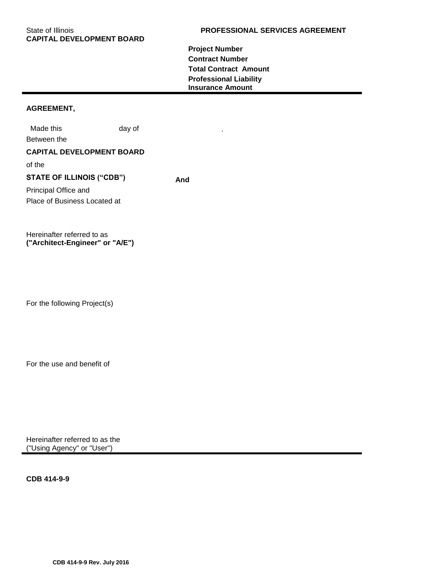**Project Number Contract Number Total Contract Amount Professional Liability Insurance Amount** 

## **AGREEMENT,**

Made this day of Between the **CAPITAL DEVELOPMENT BOARD** of the **STATE OF ILLINOIS ("CDB") And** Principal Office and Place of Business Located at

Hereinafter referred to as **("Architect-Engineer" or "A/E")**

For the following Project(s)

For the use and benefit of

Hereinafter referred to as the ("Using Agency" or "User")

**CDB 414-9-9**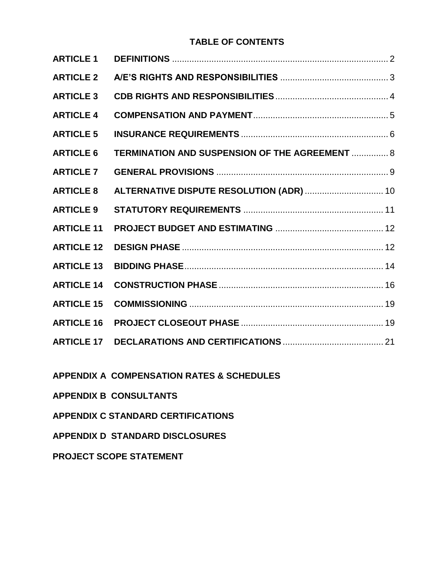## **TABLE OF CONTENTS**

| <b>ARTICLE 1</b>  |                                                |
|-------------------|------------------------------------------------|
| <b>ARTICLE 2</b>  |                                                |
| <b>ARTICLE 3</b>  |                                                |
| <b>ARTICLE 4</b>  |                                                |
| <b>ARTICLE 5</b>  |                                                |
| <b>ARTICLE 6</b>  | TERMINATION AND SUSPENSION OF THE AGREEMENT  8 |
| <b>ARTICLE 7</b>  |                                                |
| <b>ARTICLE 8</b>  | ALTERNATIVE DISPUTE RESOLUTION (ADR)  10       |
| <b>ARTICLE 9</b>  |                                                |
| <b>ARTICLE 11</b> |                                                |
| <b>ARTICLE 12</b> |                                                |
| <b>ARTICLE 13</b> |                                                |
| <b>ARTICLE 14</b> |                                                |
| <b>ARTICLE 15</b> |                                                |
| <b>ARTICLE 16</b> |                                                |
| <b>ARTICLE 17</b> |                                                |
|                   |                                                |

**APPENDIX A COMPENSATION RATES & SCHEDULES**

**APPENDIX B CONSULTANTS**

**APPENDIX C STANDARD CERTIFICATIONS**

**APPENDIX D STANDARD DISCLOSURES**

**PROJECT SCOPE STATEMENT**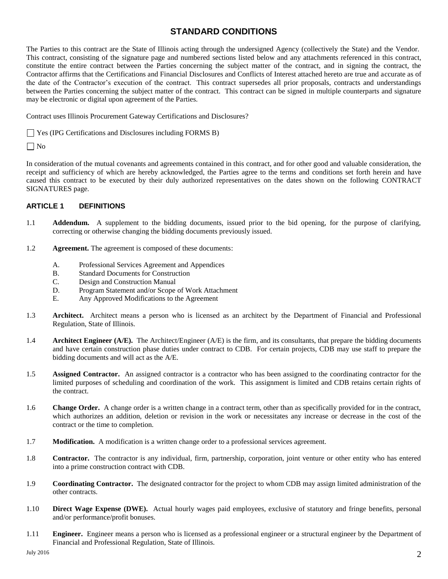## **STANDARD CONDITIONS**

The Parties to this contract are the State of Illinois acting through the undersigned Agency (collectively the State) and the Vendor. This contract, consisting of the signature page and numbered sections listed below and any attachments referenced in this contract, constitute the entire contract between the Parties concerning the subject matter of the contract, and in signing the contract, the Contractor affirms that the Certifications and Financial Disclosures and Conflicts of Interest attached hereto are true and accurate as of the date of the Contractor's execution of the contract. This contract supersedes all prior proposals, contracts and understandings between the Parties concerning the subject matter of the contract. This contract can be signed in multiple counterparts and signature may be electronic or digital upon agreement of the Parties.

Contract uses Illinois Procurement Gateway Certifications and Disclosures?

Yes (IPG Certifications and Disclosures including FORMS B)

 $\Box$  No

In consideration of the mutual covenants and agreements contained in this contract, and for other good and valuable consideration, the receipt and sufficiency of which are hereby acknowledged, the Parties agree to the terms and conditions set forth herein and have caused this contract to be executed by their duly authorized representatives on the dates shown on the following CONTRACT SIGNATURES page.

## <span id="page-3-0"></span>**ARTICLE 1 DEFINITIONS**

- 1.1 **Addendum.** A supplement to the bidding documents, issued prior to the bid opening, for the purpose of clarifying, correcting or otherwise changing the bidding documents previously issued.
- 1.2 **Agreement.** The agreement is composed of these documents:
	- A. Professional Services Agreement and Appendices
	- B. Standard Documents for Construction
	- C. Design and Construction Manual
	- D. Program Statement and/or Scope of Work Attachment
	- E. Any Approved Modifications to the Agreement
- 1.3 **Architect.** Architect means a person who is licensed as an architect by the Department of Financial and Professional Regulation, State of Illinois.
- 1.4 **Architect Engineer (A/E).** The Architect/Engineer (A/E) is the firm, and its consultants, that prepare the bidding documents and have certain construction phase duties under contract to CDB. For certain projects, CDB may use staff to prepare the bidding documents and will act as the A/E.
- 1.5 **Assigned Contractor.** An assigned contractor is a contractor who has been assigned to the coordinating contractor for the limited purposes of scheduling and coordination of the work. This assignment is limited and CDB retains certain rights of the contract.
- 1.6 **Change Order.** A change order is a written change in a contract term, other than as specifically provided for in the contract, which authorizes an addition, deletion or revision in the work or necessitates any increase or decrease in the cost of the contract or the time to completion.
- 1.7 **Modification.** A modification is a written change order to a professional services agreement.
- 1.8 **Contractor.** The contractor is any individual, firm, partnership, corporation, joint venture or other entity who has entered into a prime construction contract with CDB.
- 1.9 **Coordinating Contractor.** The designated contractor for the project to whom CDB may assign limited administration of the other contracts.
- 1.10 **Direct Wage Expense (DWE).** Actual hourly wages paid employees, exclusive of statutory and fringe benefits, personal and/or performance/profit bonuses.
- 1.11 **Engineer.** Engineer means a person who is licensed as a professional engineer or a structural engineer by the Department of Financial and Professional Regulation, State of Illinois.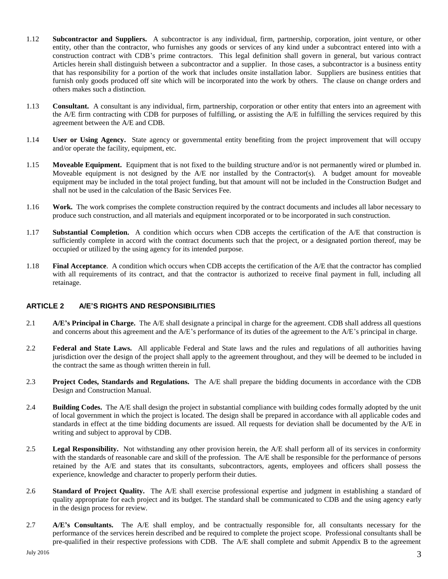- 1.12 **Subcontractor and Suppliers.** A subcontractor is any individual, firm, partnership, corporation, joint venture, or other entity, other than the contractor, who furnishes any goods or services of any kind under a subcontract entered into with a construction contract with CDB's prime contractors. This legal definition shall govern in general, but various contract Articles herein shall distinguish between a subcontractor and a supplier. In those cases, a subcontractor is a business entity that has responsibility for a portion of the work that includes onsite installation labor. Suppliers are business entities that furnish only goods produced off site which will be incorporated into the work by others. The clause on change orders and others makes such a distinction.
- 1.13 **Consultant.** A consultant is any individual, firm, partnership, corporation or other entity that enters into an agreement with the A/E firm contracting with CDB for purposes of fulfilling, or assisting the A/E in fulfilling the services required by this agreement between the A/E and CDB.
- 1.14 **User or Using Agency.** State agency or governmental entity benefiting from the project improvement that will occupy and/or operate the facility, equipment, etc.
- 1.15 **Moveable Equipment.** Equipment that is not fixed to the building structure and/or is not permanently wired or plumbed in. Moveable equipment is not designed by the A/E nor installed by the Contractor(s). A budget amount for moveable equipment may be included in the total project funding, but that amount will not be included in the Construction Budget and shall not be used in the calculation of the Basic Services Fee.
- 1.16 **Work.** The work comprises the complete construction required by the contract documents and includes all labor necessary to produce such construction, and all materials and equipment incorporated or to be incorporated in such construction.
- 1.17 **Substantial Completion.** A condition which occurs when CDB accepts the certification of the A/E that construction is sufficiently complete in accord with the contract documents such that the project, or a designated portion thereof, may be occupied or utilized by the using agency for its intended purpose.
- 1.18 **Final Acceptance**. A condition which occurs when CDB accepts the certification of the A/E that the contractor has complied with all requirements of its contract, and that the contractor is authorized to receive final payment in full, including all retainage.

## <span id="page-4-0"></span>**ARTICLE 2 A/E'S RIGHTS AND RESPONSIBILITIES**

- 2.1 **A/E's Principal in Charge.** The A/E shall designate a principal in charge for the agreement. CDB shall address all questions and concerns about this agreement and the A/E's performance of its duties of the agreement to the A/E's principal in charge.
- 2.2 **Federal and State Laws.** All applicable Federal and State laws and the rules and regulations of all authorities having jurisdiction over the design of the project shall apply to the agreement throughout, and they will be deemed to be included in the contract the same as though written therein in full.
- 2.3 **Project Codes, Standards and Regulations.** The A/E shall prepare the bidding documents in accordance with the CDB Design and Construction Manual.
- 2.4 **Building Codes.** The A/E shall design the project in substantial compliance with building codes formally adopted by the unit of local government in which the project is located. The design shall be prepared in accordance with all applicable codes and standards in effect at the time bidding documents are issued. All requests for deviation shall be documented by the A/E in writing and subject to approval by CDB.
- 2.5 **Legal Responsibility.** Not withstanding any other provision herein, the A/E shall perform all of its services in conformity with the standards of reasonable care and skill of the profession. The A/E shall be responsible for the performance of persons retained by the A/E and states that its consultants, subcontractors, agents, employees and officers shall possess the experience, knowledge and character to properly perform their duties.
- 2.6 **Standard of Project Quality.** The A/E shall exercise professional expertise and judgment in establishing a standard of quality appropriate for each project and its budget. The standard shall be communicated to CDB and the using agency early in the design process for review.
- 2.7 **A/E's Consultants.** The A/E shall employ, and be contractually responsible for, all consultants necessary for the performance of the services herein described and be required to complete the project scope. Professional consultants shall be pre-qualified in their respective professions with CDB. The A/E shall complete and submit Appendix B to the agreement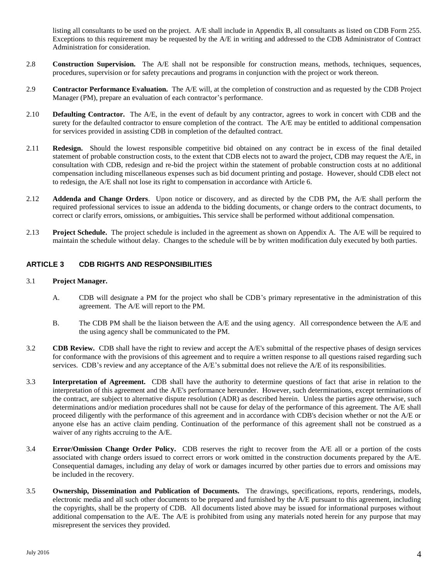listing all consultants to be used on the project. A/E shall include in Appendix B, all consultants as listed on CDB Form 255. Exceptions to this requirement may be requested by the A/E in writing and addressed to the CDB Administrator of Contract Administration for consideration.

- 2.8 **Construction Supervision.** The A/E shall not be responsible for construction means, methods, techniques, sequences, procedures, supervision or for safety precautions and programs in conjunction with the project or work thereon.
- 2.9 **Contractor Performance Evaluation.** The A/E will, at the completion of construction and as requested by the CDB Project Manager (PM), prepare an evaluation of each contractor's performance.
- 2.10 **Defaulting Contractor.** The A/E, in the event of default by any contractor, agrees to work in concert with CDB and the surety for the defaulted contractor to ensure completion of the contract. The A/E may be entitled to additional compensation for services provided in assisting CDB in completion of the defaulted contract.
- 2.11 **Redesign.** Should the lowest responsible competitive bid obtained on any contract be in excess of the final detailed statement of probable construction costs, to the extent that CDB elects not to award the project, CDB may request the A/E, in consultation with CDB, redesign and re-bid the project within the statement of probable construction costs at no additional compensation including miscellaneous expenses such as bid document printing and postage. However, should CDB elect not to redesign, the A/E shall not lose its right to compensation in accordance with Article 6.
- 2.12 **Addenda and Change Orders**. Upon notice or discovery, and as directed by the CDB PM**,** the A/E shall perform the required professional services to issue an addenda to the bidding documents, or change orders to the contract documents, to correct or clarify errors, omissions, or ambiguities**.** This service shall be performed without additional compensation.
- 2.13 **Project Schedule.** The project schedule is included in the agreement as shown on Appendix A. The A/E will be required to maintain the schedule without delay. Changes to the schedule will be by written modification duly executed by both parties.

## **ARTICLE 3 CDB RIGHTS AND RESPONSIBILITIES**

## 3.1 **Project Manager.**

- <span id="page-5-0"></span>A. CDB will designate a PM for the project who shall be CDB's primary representative in the administration of this agreement. The A/E will report to the PM.
- B. The CDB PM shall be the liaison between the A/E and the using agency. All correspondence between the A/E and the using agency shall be communicated to the PM.
- 3.2 **CDB Review.** CDB shall have the right to review and accept the A/E's submittal of the respective phases of design services for conformance with the provisions of this agreement and to require a written response to all questions raised regarding such services. CDB's review and any acceptance of the A/E's submittal does not relieve the A/E of its responsibilities.
- 3.3 **Interpretation of Agreement.** CDB shall have the authority to determine questions of fact that arise in relation to the interpretation of this agreement and the A/E's performance hereunder. However, such determinations, except terminations of the contract, are subject to alternative dispute resolution (ADR) as described herein. Unless the parties agree otherwise, such determinations and/or mediation procedures shall not be cause for delay of the performance of this agreement. The A/E shall proceed diligently with the performance of this agreement and in accordance with CDB's decision whether or not the A/E or anyone else has an active claim pending. Continuation of the performance of this agreement shall not be construed as a waiver of any rights accruing to the A/E.
- 3.4 **Error/Omission Change Order Policy.** CDB reserves the right to recover from the A/E all or a portion of the costs associated with change orders issued to correct errors or work omitted in the construction documents prepared by the A/E. Consequential damages, including any delay of work or damages incurred by other parties due to errors and omissions may be included in the recovery.
- 3.5 **Ownership, Dissemination and Publication of Documents.** The drawings, specifications, reports, renderings, models, electronic media and all such other documents to be prepared and furnished by the A/E pursuant to this agreement, including the copyrights, shall be the property of CDB. All documents listed above may be issued for informational purposes without additional compensation to the  $A/E$ . The  $A/E$  is prohibited from using any materials noted herein for any purpose that may misrepresent the services they provided.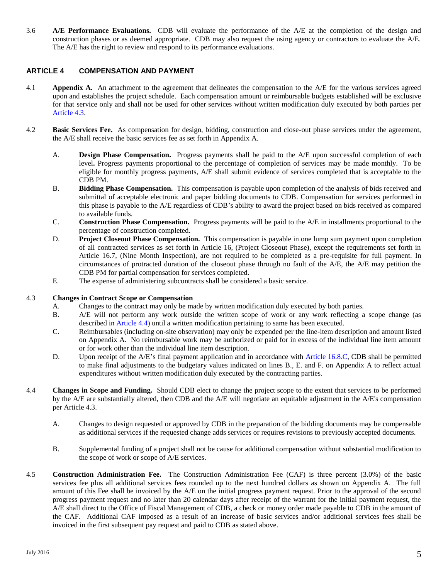3.6 **A/E Performance Evaluations.** CDB will evaluate the performance of the A/E at the completion of the design and construction phases or as deemed appropriate. CDB may also request the using agency or contractors to evaluate the A/E. The A/E has the right to review and respond to its performance evaluations.

## <span id="page-6-0"></span>**ARTICLE 4 COMPENSATION AND PAYMENT**

- 4.1 **Appendix A.** An attachment to the agreement that delineates the compensation to the A/E for the various services agreed upon and establishes the project schedule. Each compensation amount or reimbursable budgets established will be exclusive for that service only and shall not be used for other services without written modification duly executed by both parties per Article 4.3.
- 4.2 **Basic Services Fee.** As compensation for design, bidding, construction and close-out phase services under the agreement, the A/E shall receive the basic services fee as set forth in Appendix A.
	- A. **Design Phase Compensation.** Progress payments shall be paid to the A/E upon successful completion of each level**.** Progress payments proportional to the percentage of completion of services may be made monthly. To be eligible for monthly progress payments, A/E shall submit evidence of services completed that is acceptable to the CDB PM.
	- B. **Bidding Phase Compensation.** This compensation is payable upon completion of the analysis of bids received and submittal of acceptable electronic and paper bidding documents to CDB. Compensation for services performed in this phase is payable to the A/E regardless of CDB's ability to award the project based on bids received as compared to available funds.
	- C. **Construction Phase Compensation.** Progress payments will be paid to the A/E in installments proportional to the percentage of construction completed.
	- D. **Project Closeout Phase Compensation.** This compensation is payable in one lump sum payment upon completion of all contracted services as set forth in Article 16, (Project Closeout Phase), except the requirements set forth in Article 16.7, (Nine Month Inspection), are not required to be completed as a pre-requisite for full payment. In circumstances of protracted duration of the closeout phase through no fault of the A/E, the A/E may petition the CDB PM for partial compensation for services completed.
	- E. The expense of administering subcontracts shall be considered a basic service.

## 4.3 **Changes in Contract Scope or Compensation**

- A. Changes to the contract may only be made by written modification duly executed by both parties.
- B. A/E will not perform any work outside the written scope of work or any work reflecting a scope change (as described in Article 4.4) until a written modification pertaining to same has been executed.
- C. Reimbursables (including on-site observation) may only be expended per the line-item description and amount listed on Appendix A. No reimbursable work may be authorized or paid for in excess of the individual line item amount or for work other than the individual line item description.
- D. Upon receipt of the A/E's final payment application and in accordance with Article 16.8.C, CDB shall be permitted to make final adjustments to the budgetary values indicated on lines B., E. and F. on Appendix A to reflect actual expenditures without written modification duly executed by the contracting parties.
- 4.4 **Changes in Scope and Funding.** Should CDB elect to change the project scope to the extent that services to be performed by the A/E are substantially altered, then CDB and the A/E will negotiate an equitable adjustment in the A/E's compensation per Article 4.3.
	- A. Changes to design requested or approved by CDB in the preparation of the bidding documents may be compensable as additional services if the requested change adds services or requires revisions to previously accepted documents.
	- B. Supplemental funding of a project shall not be cause for additional compensation without substantial modification to the scope of work or scope of A/E services.
- 4.5 **Construction Administration Fee.** The Construction Administration Fee (CAF) is three percent (3.0%) of the basic services fee plus all additional services fees rounded up to the next hundred dollars as shown on Appendix A. The full amount of this Fee shall be invoiced by the A/E on the initial progress payment request. Prior to the approval of the second progress payment request and no later than 20 calendar days after receipt of the warrant for the initial payment request, the A/E shall direct to the Office of Fiscal Management of CDB, a check or money order made payable to CDB in the amount of the CAF. Additional CAF imposed as a result of an increase of basic services and/or additional services fees shall be invoiced in the first subsequent pay request and paid to CDB as stated above.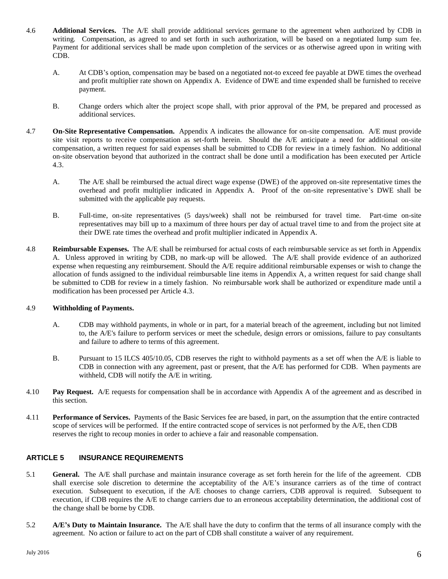- 4.6 **Additional Services.** The A/E shall provide additional services germane to the agreement when authorized by CDB in writing*.* Compensation, as agreed to and set forth in such authorization*,* will be based on a negotiated lump sum fee. Payment for additional services shall be made upon completion of the services or as otherwise agreed upon in writing with CDB.
	- A. At CDB's option, compensation may be based on a negotiated not-to exceed fee payable at DWE times the overhead and profit multiplier rate shown on Appendix A. Evidence of DWE and time expended shall be furnished to receive payment.
	- B. Change orders which alter the project scope shall, with prior approval of the PM, be prepared and processed as additional services.
- 4.7 **On-Site Representative Compensation.** Appendix A indicates the allowance for on-site compensation. A/E must provide site visit reports to receive compensation as set-forth herein. Should the A/E anticipate a need for additional on-site compensation, a written request for said expenses shall be submitted to CDB for review in a timely fashion. No additional on-site observation beyond that authorized in the contract shall be done until a modification has been executed per Article 4.3.
	- A. The A/E shall be reimbursed the actual direct wage expense (DWE) of the approved on-site representative times the overhead and profit multiplier indicated in Appendix A. Proof of the on-site representative's DWE shall be submitted with the applicable pay requests.
	- B. Full-time, on-site representatives (5 days/week) shall not be reimbursed for travel time. Part-time on-site representatives may bill up to a maximum of three hours per day of actual travel time to and from the project site at their DWE rate times the overhead and profit multiplier indicated in Appendix A.
- 4.8 **Reimbursable Expenses.** The A/E shall be reimbursed for actual costs of each reimbursable service as set forth in Appendix A. Unless approved in writing by CDB, no mark-up will be allowed. The A/E shall provide evidence of an authorized expense when requesting any reimbursement. Should the A/E require additional reimbursable expenses or wish to change the allocation of funds assigned to the individual reimbursable line items in Appendix A, a written request for said change shall be submitted to CDB for review in a timely fashion. No reimbursable work shall be authorized or expenditure made until a modification has been processed per Article 4.3.

## 4.9 **Withholding of Payments.**

- A. CDB may withhold payments, in whole or in part, for a material breach of the agreement, including but not limited to, the A/E's failure to perform services or meet the schedule, design errors or omissions, failure to pay consultants and failure to adhere to terms of this agreement.
- B. Pursuant to 15 ILCS 405/10.05, CDB reserves the right to withhold payments as a set off when the A/E is liable to CDB in connection with any agreement, past or present, that the A/E has performed for CDB. When payments are withheld, CDB will notify the A/E in writing.
- 4.10 **Pay Request.** A/E requests for compensation shall be in accordance with Appendix A of the agreement and as described in this section.
- 4.11 **Performance of Services.** Payments of the Basic Services fee are based, in part, on the assumption that the entire contracted scope of services will be performed. If the entire contracted scope of services is not performed by the A/E, then CDB reserves the right to recoup monies in order to achieve a fair and reasonable compensation.

## <span id="page-7-0"></span>**ARTICLE 5 INSURANCE REQUIREMENTS**

- 5.1 **General.** The A/E shall purchase and maintain insurance coverage as set forth herein for the life of the agreement. CDB shall exercise sole discretion to determine the acceptability of the A/E's insurance carriers as of the time of contract execution. Subsequent to execution, if the A/E chooses to change carriers, CDB approval is required. Subsequent to execution, if CDB requires the A/E to change carriers due to an erroneous acceptability determination, the additional cost of the change shall be borne by CDB.
- 5.2 **A/E's Duty to Maintain Insurance.** The A/E shall have the duty to confirm that the terms of all insurance comply with the agreement. No action or failure to act on the part of CDB shall constitute a waiver of any requirement.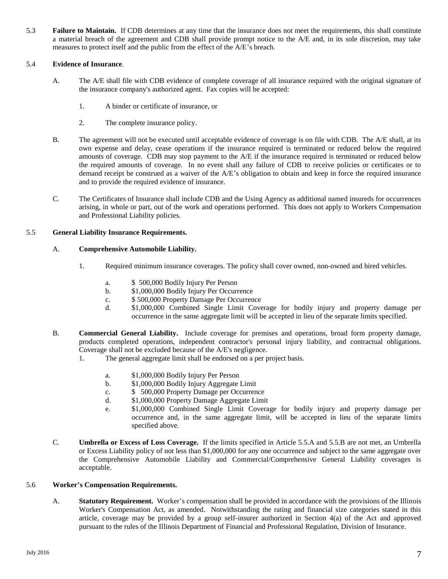5.3 **Failure to Maintain.** If CDB determines at any time that the insurance does not meet the requirements, this shall constitute a material breach of the agreement and CDB shall provide prompt notice to the A/E and, in its sole discretion, may take measures to protect itself and the public from the effect of the A/E's breach.

### 5.4 **Evidence of Insurance**.

- A. The A/E shall file with CDB evidence of complete coverage of all insurance required with the original signature of the insurance company's authorized agent. Fax copies will be accepted:
	- 1. A binder or certificate of insurance, or
	- 2. The complete insurance policy.
- B. The agreement will not be executed until acceptable evidence of coverage is on file with CDB. The A/E shall, at its own expense and delay, cease operations if the insurance required is terminated or reduced below the required amounts of coverage. CDB may stop payment to the A/E if the insurance required is terminated or reduced below the required amounts of coverage. In no event shall any failure of CDB to receive policies or certificates or to demand receipt be construed as a waiver of the A/E's obligation to obtain and keep in force the required insurance and to provide the required evidence of insurance.
- C. The Certificates of Insurance shall include CDB and the Using Agency as additional named insureds for occurrences arising, in whole or part, out of the work and operations performed. This does not apply to Workers Compensation and Professional Liability policies.

#### 5.5 **General Liability Insurance Requirements.**

#### A. **Comprehensive Automobile Liability.**

- 1. Required minimum insurance coverages. The policy shall cover owned, non-owned and hired vehicles.
	- a. \$ 500,000 Bodily Injury Per Person
	- b. \$1,000,000 Bodily Injury Per Occurrence
	- c. \$ 500,000 Property Damage Per Occurrence
	- d. \$1,000,000 Combined Single Limit Coverage for bodily injury and property damage per occurrence in the same aggregate limit will be accepted in lieu of the separate limits specified.
- B. **Commercial General Liability.** Include coverage for premises and operations, broad form property damage, products completed operations, independent contractor's personal injury liability, and contractual obligations. Coverage shall not be excluded because of the A/E's negligence.
	- 1. The general aggregate limit shall be endorsed on a per project basis.
		- a. \$1,000,000 Bodily Injury Per Person
		- b. \$1,000,000 Bodily Injury Aggregate Limit
		- c. \$ 500,000 Property Damage per Occurrence
		- d. \$1,000,000 Property Damage Aggregate Limit
		- e. \$1,000,000 Combined Single Limit Coverage for bodily injury and property damage per occurrence and, in the same aggregate limit, will be accepted in lieu of the separate limits specified above.
- C. **Umbrella or Excess of Loss Coverage.** If the limits specified in Article 5.5.A and 5.5.B are not met, an Umbrella or Excess Liability policy of not less than \$1,000,000 for any one occurrence and subject to the same aggregate over the Comprehensive Automobile Liability and Commercial/Comprehensive General Liability coverages is acceptable.

#### 5.6 **Worker's Compensation Requirements.**

A. **Statutory Requirement.** Worker's compensation shall be provided in accordance with the provisions of the Illinois Worker's Compensation Act, as amended. Notwithstanding the rating and financial size categories stated in this article, coverage may be provided by a group self-insurer authorized in Section 4(a) of the Act and approved pursuant to the rules of the Illinois Department of Financial and Professional Regulation, Division of Insurance.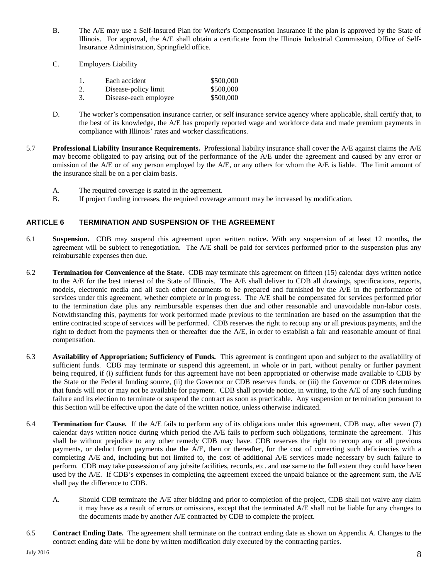- B. The A/E may use a Self-Insured Plan for Worker's Compensation Insurance if the plan is approved by the State of Illinois. For approval, the A/E shall obtain a certificate from the Illinois Industrial Commission, Office of Self-Insurance Administration, Springfield office.
- C. Employers Liability

<span id="page-9-0"></span>

|    | Each accident         | \$500,000 |
|----|-----------------------|-----------|
| 2. | Disease-policy limit  | \$500,000 |
| 3. | Disease-each employee | \$500,000 |

- D. The worker's compensation insurance carrier, or self insurance service agency where applicable, shall certify that, to the best of its knowledge, the A/E has properly reported wage and workforce data and made premium payments in compliance with Illinois' rates and worker classifications.
- 5.7 **Professional Liability Insurance Requirements.** Professional liability insurance shall cover the A/E against claims the A/E may become obligated to pay arising out of the performance of the A/E under the agreement and caused by any error or omission of the A/E or of any person employed by the A/E, or any others for whom the A/E is liable. The limit amount of the insurance shall be on a per claim basis.
	- A. The required coverage is stated in the agreement.
	- B. If project funding increases, the required coverage amount may be increased by modification.

## **ARTICLE 6 TERMINATION AND SUSPENSION OF THE AGREEMENT**

- 6.1 **Suspension.** CDB may suspend this agreement upon written notice**.** With any suspension of at least 12 months**,** the agreement will be subject to renegotiation. The A/E shall be paid for services performed prior to the suspension plus any reimbursable expenses then due.
- 6.2 **Termination for Convenience of the State.** CDB may terminate this agreement on fifteen (15) calendar days written notice to the A/E for the best interest of the State of Illinois. The A/E shall deliver to CDB all drawings, specifications, reports, models, electronic media and all such other documents to be prepared and furnished by the A/E in the performance of services under this agreement, whether complete or in progress. The A/E shall be compensated for services performed prior to the termination date plus any reimbursable expenses then due and other reasonable and unavoidable non-labor costs. Notwithstanding this, payments for work performed made previous to the termination are based on the assumption that the entire contracted scope of services will be performed. CDB reserves the right to recoup any or all previous payments, and the right to deduct from the payments then or thereafter due the A/E, in order to establish a fair and reasonable amount of final compensation.
- 6.3 **Availability of Appropriation; Sufficiency of Funds.** This agreement is contingent upon and subject to the availability of sufficient funds. CDB may terminate or suspend this agreement, in whole or in part, without penalty or further payment being required, if (i) sufficient funds for this agreement have not been appropriated or otherwise made available to CDB by the State or the Federal funding source, (ii) the Governor or CDB reserves funds, or (iii) the Governor or CDB determines that funds will not or may not be available for payment. CDB shall provide notice, in writing, to the A/E of any such funding failure and its election to terminate or suspend the contract as soon as practicable. Any suspension or termination pursuant to this Section will be effective upon the date of the written notice, unless otherwise indicated.
- 6.4 **Termination for Cause.** If the A/E fails to perform any of its obligations under this agreement, CDB may, after seven (7) calendar days written notice during which period the A/E fails to perform such obligations, terminate the agreement. This shall be without prejudice to any other remedy CDB may have. CDB reserves the right to recoup any or all previous payments, or deduct from payments due the A/E, then or thereafter, for the cost of correcting such deficiencies with a completing A/E and, including but not limited to, the cost of additional A/E services made necessary by such failure to perform. CDB may take possession of any jobsite facilities, records, etc. and use same to the full extent they could have been used by the A/E. If CDB's expenses in completing the agreement exceed the unpaid balance or the agreement sum, the A/E shall pay the difference to CDB.
	- A. Should CDB terminate the A/E after bidding and prior to completion of the project, CDB shall not waive any claim it may have as a result of errors or omissions, except that the terminated A/E shall not be liable for any changes to the documents made by another A/E contracted by CDB to complete the project.
- 6.5 **Contract Ending Date.** The agreement shall terminate on the contract ending date as shown on Appendix A. Changes to the contract ending date will be done by written modification duly executed by the contracting parties.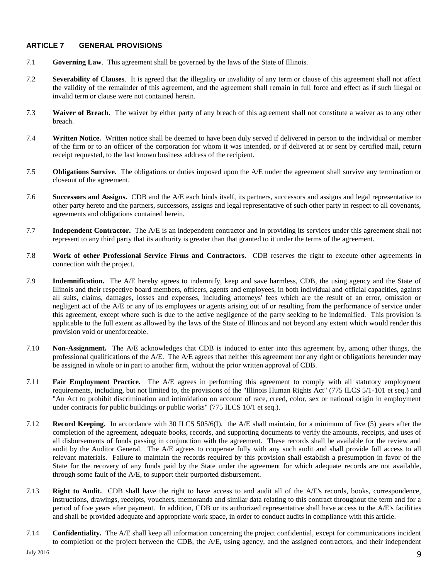## <span id="page-10-0"></span>**ARTICLE 7 GENERAL PROVISIONS**

- 7.1 **Governing Law**. This agreement shall be governed by the laws of the State of Illinois.
- 7.2 **Severability of Clauses**. It is agreed that the illegality or invalidity of any term or clause of this agreement shall not affect the validity of the remainder of this agreement, and the agreement shall remain in full force and effect as if such illegal or invalid term or clause were not contained herein.
- 7.3 **Waiver of Breach.** The waiver by either party of any breach of this agreement shall not constitute a waiver as to any other breach.
- 7.4 **Written Notice.** Written notice shall be deemed to have been duly served if delivered in person to the individual or member of the firm or to an officer of the corporation for whom it was intended, or if delivered at or sent by certified mail, return receipt requested, to the last known business address of the recipient.
- 7.5 **Obligations Survive.** The obligations or duties imposed upon the A/E under the agreement shall survive any termination or closeout of the agreement.
- 7.6 **Successors and Assigns.** CDB and the A/E each binds itself, its partners, successors and assigns and legal representative to other party hereto and the partners, successors, assigns and legal representative of such other party in respect to all covenants, agreements and obligations contained herein.
- 7.7 **Independent Contractor.** The A/E is an independent contractor and in providing its services under this agreement shall not represent to any third party that its authority is greater than that granted to it under the terms of the agreement.
- 7.8 **Work of other Professional Service Firms and Contractors.** CDB reserves the right to execute other agreements in connection with the project.
- 7.9 **Indemnification.** The A/E hereby agrees to indemnify, keep and save harmless, CDB, the using agency and the State of Illinois and their respective board members, officers, agents and employees, in both individual and official capacities, against all suits, claims, damages, losses and expenses, including attorneys' fees which are the result of an error, omission or negligent act of the A/E or any of its employees or agents arising out of or resulting from the performance of service under this agreement, except where such is due to the active negligence of the party seeking to be indemnified. This provision is applicable to the full extent as allowed by the laws of the State of Illinois and not beyond any extent which would render this provision void or unenforceable.
- 7.10 **Non-Assignment.** The A/E acknowledges that CDB is induced to enter into this agreement by, among other things, the professional qualifications of the A/E. The A/E agrees that neither this agreement nor any right or obligations hereunder may be assigned in whole or in part to another firm, without the prior written approval of CDB.
- 7.11 **Fair Employment Practice.** The A/E agrees in performing this agreement to comply with all statutory employment requirements, including, but not limited to, the provisions of the "Illinois Human Rights Act" (775 ILCS 5/1-101 et seq.) and "An Act to prohibit discrimination and intimidation on account of race, creed, color, sex or national origin in employment under contracts for public buildings or public works" (775 ILCS 10/1 et seq.).
- 7.12 **Record Keeping.** In accordance with 30 ILCS 505/6(I), the A/E shall maintain, for a minimum of five (5) years after the completion of the agreement, adequate books, records, and supporting documents to verify the amounts, receipts, and uses of all disbursements of funds passing in conjunction with the agreement. These records shall be available for the review and audit by the Auditor General. The A/E agrees to cooperate fully with any such audit and shall provide full access to all relevant materials. Failure to maintain the records required by this provision shall establish a presumption in favor of the State for the recovery of any funds paid by the State under the agreement for which adequate records are not available, through some fault of the A/E, to support their purported disbursement.
- 7.13 **Right to Audit.** CDB shall have the right to have access to and audit all of the A/E's records, books, correspondence, instructions, drawings, receipts, vouchers, memoranda and similar data relating to this contract throughout the term and for a period of five years after payment. In addition, CDB or its authorized representative shall have access to the A/E's facilities and shall be provided adequate and appropriate work space, in order to conduct audits in compliance with this article.
- 7.14 **Confidentiality.** The A/E shall keep all information concerning the project confidential, except for communications incident to completion of the project between the CDB, the A/E, using agency, and the assigned contractors, and their independent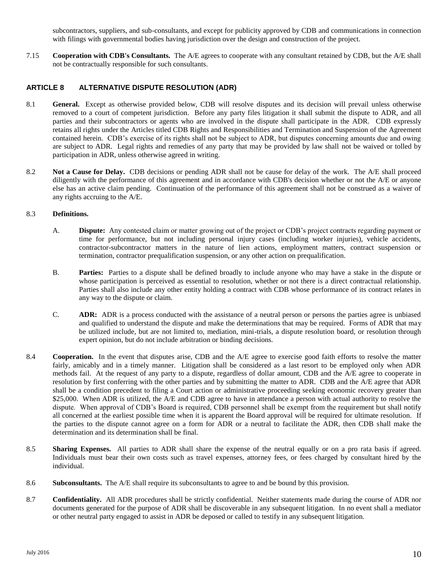<span id="page-11-0"></span>subcontractors, suppliers, and sub-consultants, and except for publicity approved by CDB and communications in connection with filings with governmental bodies having jurisdiction over the design and construction of the project.

7.15 **Cooperation with CDB's Consultants.** The A/E agrees to cooperate with any consultant retained by CDB, but the A/E shall not be contractually responsible for such consultants.

## **ARTICLE 8 ALTERNATIVE DISPUTE RESOLUTION (ADR)**

- 8.1 **General.** Except as otherwise provided below, CDB will resolve disputes and its decision will prevail unless otherwise removed to a court of competent jurisdiction. Before any party files litigation it shall submit the dispute to ADR, and all parties and their subcontractors or agents who are involved in the dispute shall participate in the ADR. CDB expressly retains all rights under the Articles titled CDB Rights and Responsibilities and Termination and Suspension of the Agreement contained herein. CDB's exercise of its rights shall not be subject to ADR, but disputes concerning amounts due and owing are subject to ADR. Legal rights and remedies of any party that may be provided by law shall not be waived or tolled by participation in ADR, unless otherwise agreed in writing.
- 8.2 **Not a Cause for Delay.** CDB decisions or pending ADR shall not be cause for delay of the work. The A/E shall proceed diligently with the performance of this agreement and in accordance with CDB's decision whether or not the A/E or anyone else has an active claim pending. Continuation of the performance of this agreement shall not be construed as a waiver of any rights accruing to the A/E.

#### 8.3 **Definitions.**

- A. **Dispute:** Any contested claim or matter growing out of the project or CDB's project contracts regarding payment or time for performance, but not including personal injury cases (including worker injuries), vehicle accidents, contractor-subcontractor matters in the nature of lien actions, employment matters, contract suspension or termination, contractor prequalification suspension, or any other action on prequalification.
- B. **Parties:** Parties to a dispute shall be defined broadly to include anyone who may have a stake in the dispute or whose participation is perceived as essential to resolution, whether or not there is a direct contractual relationship. Parties shall also include any other entity holding a contract with CDB whose performance of its contract relates in any way to the dispute or claim.
- C. **ADR:** ADR is a process conducted with the assistance of a neutral person or persons the parties agree is unbiased and qualified to understand the dispute and make the determinations that may be required. Forms of ADR that may be utilized include, but are not limited to, mediation, mini-trials, a dispute resolution board, or resolution through expert opinion, but do not include arbitration or binding decisions.
- 8.4 **Cooperation.** In the event that disputes arise, CDB and the A/E agree to exercise good faith efforts to resolve the matter fairly, amicably and in a timely manner. Litigation shall be considered as a last resort to be employed only when ADR methods fail. At the request of any party to a dispute, regardless of dollar amount, CDB and the A/E agree to cooperate in resolution by first conferring with the other parties and by submitting the matter to ADR. CDB and the A/E agree that ADR shall be a condition precedent to filing a Court action or administrative proceeding seeking economic recovery greater than \$25,000. When ADR is utilized, the A/E and CDB agree to have in attendance a person with actual authority to resolve the dispute. When approval of CDB's Board is required, CDB personnel shall be exempt from the requirement but shall notify all concerned at the earliest possible time when it is apparent the Board approval will be required for ultimate resolution. If the parties to the dispute cannot agree on a form for ADR or a neutral to facilitate the ADR, then CDB shall make the determination and its determination shall be final.
- 8.5 **Sharing Expenses.** All parties to ADR shall share the expense of the neutral equally or on a pro rata basis if agreed. Individuals must bear their own costs such as travel expenses, attorney fees, or fees charged by consultant hired by the individual.
- 8.6 **Subconsultants.** The A/E shall require its subconsultants to agree to and be bound by this provision.
- 8.7 **Confidentiality.** All ADR procedures shall be strictly confidential. Neither statements made during the course of ADR nor documents generated for the purpose of ADR shall be discoverable in any subsequent litigation. In no event shall a mediator or other neutral party engaged to assist in ADR be deposed or called to testify in any subsequent litigation.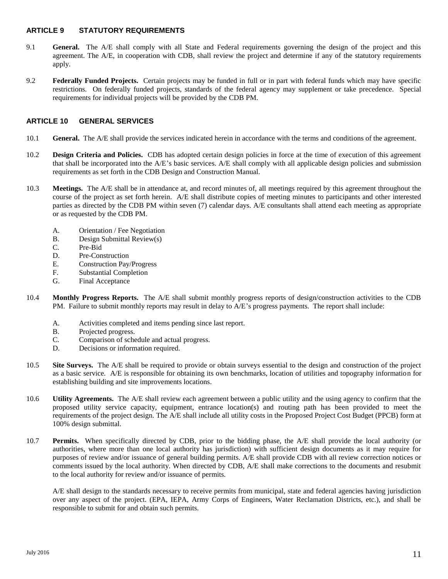## <span id="page-12-0"></span>**ARTICLE 9 STATUTORY REQUIREMENTS**

- 9.1 **General.** The A/E shall comply with all State and Federal requirements governing the design of the project and this agreement. The A/E, in cooperation with CDB, shall review the project and determine if any of the statutory requirements apply.
- 9.2 **Federally Funded Projects.** Certain projects may be funded in full or in part with federal funds which may have specific restrictions. On federally funded projects, standards of the federal agency may supplement or take precedence. Special requirements for individual projects will be provided by the CDB PM.

## **ARTICLE 10 GENERAL SERVICES**

- 10.1 **General.** The A/E shall provide the services indicated herein in accordance with the terms and conditions of the agreement.
- 10.2 **Design Criteria and Policies.** CDB has adopted certain design policies in force at the time of execution of this agreement that shall be incorporated into the A/E's basic services. A/E shall comply with all applicable design policies and submission requirements as set forth in the CDB Design and Construction Manual.
- 10.3 **Meetings.** The A/E shall be in attendance at, and record minutes of, all meetings required by this agreement throughout the course of the project as set forth herein. A/E shall distribute copies of meeting minutes to participants and other interested parties as directed by the CDB PM within seven (7) calendar days. A/E consultants shall attend each meeting as appropriate or as requested by the CDB PM.
	- A. Orientation / Fee Negotiation
	- B. Design Submittal Review(s)
	- C. Pre-Bid
	- D. Pre-Construction
	- E. Construction Pay/Progress
	- F. Substantial Completion
	- G. Final Acceptance
- 10.4 **Monthly Progress Reports.** The A/E shall submit monthly progress reports of design/construction activities to the CDB PM. Failure to submit monthly reports may result in delay to A/E's progress payments. The report shall include:
	- A. Activities completed and items pending since last report.
	- B. Projected progress.
	- C. Comparison of schedule and actual progress.
	- D. Decisions or information required.
- 10.5 **Site Surveys.** The A/E shall be required to provide or obtain surveys essential to the design and construction of the project as a basic service. A/E is responsible for obtaining its own benchmarks, location of utilities and topography information for establishing building and site improvements locations.
- 10.6 **Utility Agreements.** The A/E shall review each agreement between a public utility and the using agency to confirm that the proposed utility service capacity, equipment, entrance location(s) and routing path has been provided to meet the requirements of the project design. The A/E shall include all utility costs in the Proposed Project Cost Budget (PPCB) form at 100% design submittal.
- 10.7 **Permits.** When specifically directed by CDB, prior to the bidding phase, the A/E shall provide the local authority (or authorities, where more than one local authority has jurisdiction) with sufficient design documents as it may require for purposes of review and/or issuance of general building permits. A/E shall provide CDB with all review correction notices or comments issued by the local authority. When directed by CDB, A/E shall make corrections to the documents and resubmit to the local authority for review and/or issuance of permits.

A/E shall design to the standards necessary to receive permits from municipal, state and federal agencies having jurisdiction over any aspect of the project. (EPA, IEPA, Army Corps of Engineers, Water Reclamation Districts, etc.), and shall be responsible to submit for and obtain such permits.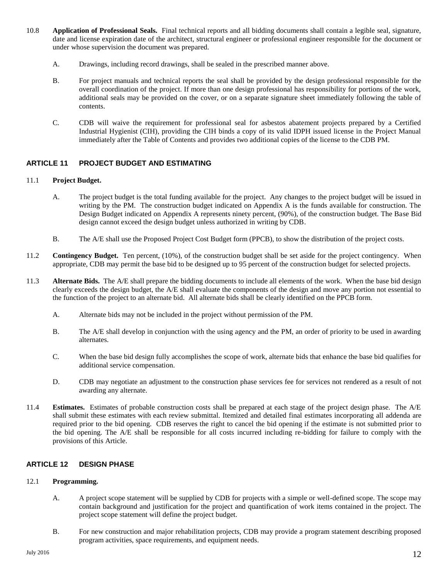- 10.8 **Application of Professional Seals.** Final technical reports and all bidding documents shall contain a legible seal, signature, date and license expiration date of the architect, structural engineer or professional engineer responsible for the document or under whose supervision the document was prepared.
	- A. Drawings, including record drawings, shall be sealed in the prescribed manner above.
	- B. For project manuals and technical reports the seal shall be provided by the design professional responsible for the overall coordination of the project. If more than one design professional has responsibility for portions of the work, additional seals may be provided on the cover, or on a separate signature sheet immediately following the table of contents.
	- C. CDB will waive the requirement for professional seal for asbestos abatement projects prepared by a Certified Industrial Hygienist (CIH), providing the CIH binds a copy of its valid IDPH issued license in the Project Manual immediately after the Table of Contents and provides two additional copies of the license to the CDB PM.

## **ARTICLE 11 PROJECT BUDGET AND ESTIMATING**

## 11.1 **Project Budget.**

- <span id="page-13-0"></span>A. The project budget is the total funding available for the project. Any changes to the project budget will be issued in writing by the PM. The construction budget indicated on Appendix A is the funds available for construction. The Design Budget indicated on Appendix A represents ninety percent, (90%), of the construction budget. The Base Bid design cannot exceed the design budget unless authorized in writing by CDB.
- B. The A/E shall use the Proposed Project Cost Budget form (PPCB), to show the distribution of the project costs.
- 11.2 **Contingency Budget.** Ten percent, (10%), of the construction budget shall be set aside for the project contingency. When appropriate, CDB may permit the base bid to be designed up to 95 percent of the construction budget for selected projects.
- 11.3 **Alternate Bids.** The A/E shall prepare the bidding documents to include all elements of the work. When the base bid design clearly exceeds the design budget, the A/E shall evaluate the components of the design and move any portion not essential to the function of the project to an alternate bid. All alternate bids shall be clearly identified on the PPCB form.
	- A. Alternate bids may not be included in the project without permission of the PM.
	- B. The A/E shall develop in conjunction with the using agency and the PM, an order of priority to be used in awarding alternates.
	- C. When the base bid design fully accomplishes the scope of work, alternate bids that enhance the base bid qualifies for additional service compensation.
	- D. CDB may negotiate an adjustment to the construction phase services fee for services not rendered as a result of not awarding any alternate.
- 11.4 **Estimates.** Estimates of probable construction costs shall be prepared at each stage of the project design phase. The A/E shall submit these estimates with each review submittal. Itemized and detailed final estimates incorporating all addenda are required prior to the bid opening. CDB reserves the right to cancel the bid opening if the estimate is not submitted prior to the bid opening. The A/E shall be responsible for all costs incurred including re-bidding for failure to comply with the provisions of this Article.

#### **ARTICLE 12 DESIGN PHASE**

#### 12.1 **Programming.**

- <span id="page-13-1"></span>A. A project scope statement will be supplied by CDB for projects with a simple or well-defined scope. The scope may contain background and justification for the project and quantification of work items contained in the project. The project scope statement will define the project budget.
- B. For new construction and major rehabilitation projects, CDB may provide a program statement describing proposed program activities, space requirements, and equipment needs.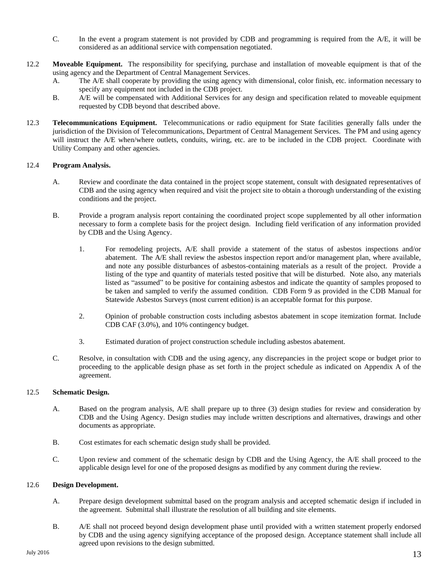- C. In the event a program statement is not provided by CDB and programming is required from the A/E, it will be considered as an additional service with compensation negotiated.
- 12.2 **Moveable Equipment.** The responsibility for specifying, purchase and installation of moveable equipment is that of the using agency and the Department of Central Management Services.
	- A. The A/E shall cooperate by providing the using agency with dimensional, color finish, etc. information necessary to specify any equipment not included in the CDB project.
	- B. A/E will be compensated with Additional Services for any design and specification related to moveable equipment requested by CDB beyond that described above.
- 12.3 **Telecommunications Equipment.** Telecommunications or radio equipment for State facilities generally falls under the jurisdiction of the Division of Telecommunications, Department of Central Management Services. The PM and using agency will instruct the A/E when/where outlets, conduits, wiring, etc. are to be included in the CDB project. Coordinate with Utility Company and other agencies.

## 12.4 **Program Analysis.**

- A. Review and coordinate the data contained in the project scope statement, consult with designated representatives of CDB and the using agency when required and visit the project site to obtain a thorough understanding of the existing conditions and the project.
- B. Provide a program analysis report containing the coordinated project scope supplemented by all other information necessary to form a complete basis for the project design. Including field verification of any information provided by CDB and the Using Agency.
	- 1. For remodeling projects, A/E shall provide a statement of the status of asbestos inspections and/or abatement. The A/E shall review the asbestos inspection report and/or management plan, where available, and note any possible disturbances of asbestos-containing materials as a result of the project. Provide a listing of the type and quantity of materials tested positive that will be disturbed. Note also, any materials listed as "assumed" to be positive for containing asbestos and indicate the quantity of samples proposed to be taken and sampled to verify the assumed condition. CDB Form 9 as provided in the CDB Manual for Statewide Asbestos Surveys (most current edition) is an acceptable format for this purpose.
	- 2. Opinion of probable construction costs including asbestos abatement in scope itemization format. Include CDB CAF (3.0%), and 10% contingency budget.
	- 3. Estimated duration of project construction schedule including asbestos abatement.
- C. Resolve, in consultation with CDB and the using agency, any discrepancies in the project scope or budget prior to proceeding to the applicable design phase as set forth in the project schedule as indicated on Appendix A of the agreement.

#### 12.5 **Schematic Design.**

- A. Based on the program analysis, A/E shall prepare up to three (3) design studies for review and consideration by CDB and the Using Agency. Design studies may include written descriptions and alternatives, drawings and other documents as appropriate.
- B. Cost estimates for each schematic design study shall be provided.
- C. Upon review and comment of the schematic design by CDB and the Using Agency, the A/E shall proceed to the applicable design level for one of the proposed designs as modified by any comment during the review.

#### 12.6 **Design Development.**

- A. Prepare design development submittal based on the program analysis and accepted schematic design if included in the agreement. Submittal shall illustrate the resolution of all building and site elements.
- B. A/E shall not proceed beyond design development phase until provided with a written statement properly endorsed by CDB and the using agency signifying acceptance of the proposed design. Acceptance statement shall include all agreed upon revisions to the design submitted.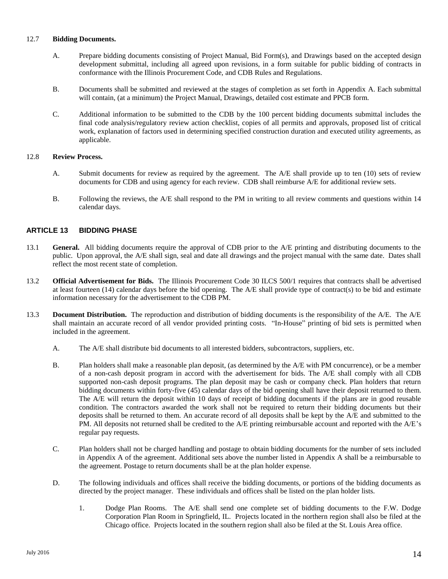## 12.7 **Bidding Documents.**

- A. Prepare bidding documents consisting of Project Manual, Bid Form(s), and Drawings based on the accepted design development submittal, including all agreed upon revisions, in a form suitable for public bidding of contracts in conformance with the Illinois Procurement Code, and CDB Rules and Regulations.
- B. Documents shall be submitted and reviewed at the stages of completion as set forth in Appendix A. Each submittal will contain, (at a minimum) the Project Manual, Drawings, detailed cost estimate and PPCB form.
- C. Additional information to be submitted to the CDB by the 100 percent bidding documents submittal includes the final code analysis/regulatory review action checklist, copies of all permits and approvals, proposed list of critical work, explanation of factors used in determining specified construction duration and executed utility agreements, as applicable.

## 12.8 **Review Process.**

- A. Submit documents for review as required by the agreement. The A/E shall provide up to ten (10) sets of review documents for CDB and using agency for each review. CDB shall reimburse A/E for additional review sets.
- <span id="page-15-0"></span>B. Following the reviews, the A/E shall respond to the PM in writing to all review comments and questions within 14 calendar days.

## **ARTICLE 13 BIDDING PHASE**

- 13.1 **General.** All bidding documents require the approval of CDB prior to the A/E printing and distributing documents to the public. Upon approval, the A/E shall sign, seal and date all drawings and the project manual with the same date. Dates shall reflect the most recent state of completion.
- 13.2 **Official Advertisement for Bids.** The Illinois Procurement Code 30 ILCS 500/1 requires that contracts shall be advertised at least fourteen (14) calendar days before the bid opening. The A/E shall provide type of contract(s) to be bid and estimate information necessary for the advertisement to the CDB PM.
- 13.3 **Document Distribution.** The reproduction and distribution of bidding documents is the responsibility of the A/E. The A/E shall maintain an accurate record of all vendor provided printing costs. "In-House" printing of bid sets is permitted when included in the agreement.
	- A. The A/E shall distribute bid documents to all interested bidders, subcontractors, suppliers, etc.
	- B. Plan holders shall make a reasonable plan deposit, (as determined by the A/E with PM concurrence), or be a member of a non-cash deposit program in accord with the advertisement for bids. The A/E shall comply with all CDB supported non-cash deposit programs. The plan deposit may be cash or company check. Plan holders that return bidding documents within forty-five (45) calendar days of the bid opening shall have their deposit returned to them. The A/E will return the deposit within 10 days of receipt of bidding documents if the plans are in good reusable condition. The contractors awarded the work shall not be required to return their bidding documents but their deposits shall be returned to them. An accurate record of all deposits shall be kept by the A/E and submitted to the PM. All deposits not returned shall be credited to the A/E printing reimbursable account and reported with the A/E's regular pay requests.
	- C. Plan holders shall not be charged handling and postage to obtain bidding documents for the number of sets included in Appendix A of the agreement. Additional sets above the number listed in Appendix A shall be a reimbursable to the agreement. Postage to return documents shall be at the plan holder expense.
	- D. The following individuals and offices shall receive the bidding documents, or portions of the bidding documents as directed by the project manager. These individuals and offices shall be listed on the plan holder lists.
		- 1. Dodge Plan Rooms. The A/E shall send one complete set of bidding documents to the F.W. Dodge Corporation Plan Room in Springfield, IL. Projects located in the northern region shall also be filed at the Chicago office. Projects located in the southern region shall also be filed at the St. Louis Area office.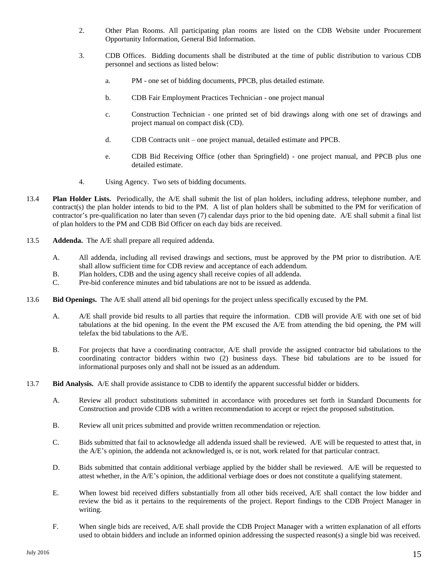- 2. Other Plan Rooms. All participating plan rooms are listed on the CDB Website under Procurement Opportunity Information, General Bid Information.
- 3. CDB Offices. Bidding documents shall be distributed at the time of public distribution to various CDB personnel and sections as listed below:
	- a. PM one set of bidding documents, PPCB, plus detailed estimate.
	- b. CDB Fair Employment Practices Technician one project manual
	- c. Construction Technician one printed set of bid drawings along with one set of drawings and project manual on compact disk (CD).
	- d. CDB Contracts unit one project manual, detailed estimate and PPCB.
	- e. CDB Bid Receiving Office (other than Springfield) one project manual, and PPCB plus one detailed estimate.
- 4. Using Agency. Two sets of bidding documents.
- 13.4 **Plan Holder Lists.** Periodically, the A/E shall submit the list of plan holders, including address, telephone number, and contract(s) the plan holder intends to bid to the PM. A list of plan holders shall be submitted to the PM for verification of contractor's pre-qualification no later than seven (7) calendar days prior to the bid opening date. A/E shall submit a final list of plan holders to the PM and CDB Bid Officer on each day bids are received.
- 13.5 **Addenda.** The A/E shall prepare all required addenda.
	- A. All addenda, including all revised drawings and sections, must be approved by the PM prior to distribution. A/E shall allow sufficient time for CDB review and acceptance of each addendum.
	- B. Plan holders, CDB and the using agency shall receive copies of all addenda.
	- C. Pre-bid conference minutes and bid tabulations are not to be issued as addenda.
- 13.6 **Bid Openings.** The A/E shall attend all bid openings for the project unless specifically excused by the PM.
	- A. A/E shall provide bid results to all parties that require the information. CDB will provide A/E with one set of bid tabulations at the bid opening. In the event the PM excused the A/E from attending the bid opening, the PM will telefax the bid tabulations to the A/E.
	- B. For projects that have a coordinating contractor, A/E shall provide the assigned contractor bid tabulations to the coordinating contractor bidders within two (2) business days. These bid tabulations are to be issued for informational purposes only and shall not be issued as an addendum.
- 13.7 **Bid Analysis.** A/E shall provide assistance to CDB to identify the apparent successful bidder or bidders.
	- A. Review all product substitutions submitted in accordance with procedures set forth in Standard Documents for Construction and provide CDB with a written recommendation to accept or reject the proposed substitution.
	- B. Review all unit prices submitted and provide written recommendation or rejection.
	- C. Bids submitted that fail to acknowledge all addenda issued shall be reviewed. A/E will be requested to attest that, in the A/E's opinion, the addenda not acknowledged is, or is not, work related for that particular contract.
	- D. Bids submitted that contain additional verbiage applied by the bidder shall be reviewed. A/E will be requested to attest whether, in the A/E's opinion, the additional verbiage does or does not constitute a qualifying statement.
	- E. When lowest bid received differs substantially from all other bids received, A/E shall contact the low bidder and review the bid as it pertains to the requirements of the project. Report findings to the CDB Project Manager in writing.
	- F. When single bids are received, A/E shall provide the CDB Project Manager with a written explanation of all efforts used to obtain bidders and include an informed opinion addressing the suspected reason(s) a single bid was received.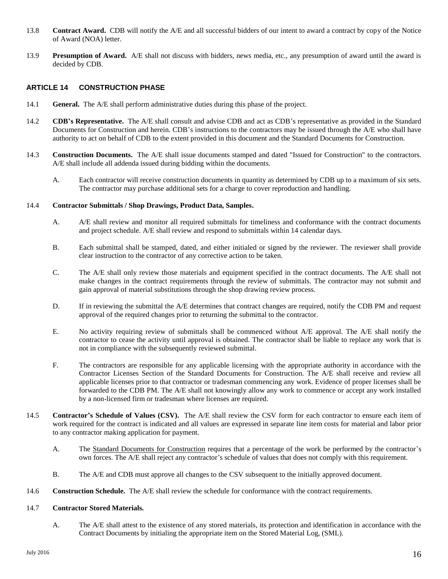- 13.8 **Contract Award.** CDB will notify the A/E and all successful bidders of our intent to award a contract by copy of the Notice of Award (NOA) letter.
- 13.9 **Presumption of Award.** A/E shall not discuss with bidders, news media, etc., any presumption of award until the award is decided by CDB.

## <span id="page-17-0"></span>**ARTICLE 14 CONSTRUCTION PHASE**

- 14.1 **General.** The A/E shall perform administrative duties during this phase of the project.
- 14.2 **CDB's Representative.** The A/E shall consult and advise CDB and act as CDB's representative as provided in the Standard Documents for Construction and herein. CDB's instructions to the contractors may be issued through the A/E who shall have authority to act on behalf of CDB to the extent provided in this document and the Standard Documents for Construction.
- 14.3 **Construction Documents.**The A/E shall issue documents stamped and dated "Issued for Construction" to the contractors. A/E shall include all addenda issued during bidding within the documents.
	- A. Each contractor will receive construction documents in quantity as determined by CDB up to a maximum of six sets. The contractor may purchase additional sets for a charge to cover reproduction and handling.

### 14.4 **Contractor Submittals / Shop Drawings, Product Data, Samples.**

- A. A/E shall review and monitor all required submittals for timeliness and conformance with the contract documents and project schedule. A/E shall review and respond to submittals within 14 calendar days.
- B. Each submittal shall be stamped, dated, and either initialed or signed by the reviewer. The reviewer shall provide clear instruction to the contractor of any corrective action to be taken.
- C. The A/E shall only review those materials and equipment specified in the contract documents. The A/E shall not make changes in the contract requirements through the review of submittals. The contractor may not submit and gain approval of material substitutions through the shop drawing review process.
- D. If in reviewing the submittal the A/E determines that contract changes are required, notify the CDB PM and request approval of the required changes prior to returning the submittal to the contractor.
- E. No activity requiring review of submittals shall be commenced without A/E approval. The A/E shall notify the contractor to cease the activity until approval is obtained. The contractor shall be liable to replace any work that is not in compliance with the subsequently reviewed submittal.
- F. The contractors are responsible for any applicable licensing with the appropriate authority in accordance with the Contractor Licenses Section of the Standard Documents for Construction. The A/E shall receive and review all applicable licenses prior to that contractor or tradesman commencing any work. Evidence of proper licenses shall be forwarded to the CDB PM. The A/E shall not knowingly allow any work to commence or accept any work installed by a non-licensed firm or tradesman where licenses are required.
- 14.5 **Contractor's Schedule of Values (CSV).** The A/E shall review the CSV form for each contractor to ensure each item of work required for the contract is indicated and all values are expressed in separate line item costs for material and labor prior to any contractor making application for payment.
	- A. The Standard Documents for Construction requires that a percentage of the work be performed by the contractor's own forces. The A/E shall reject any contractor's schedule of values that does not comply with this requirement.
	- B. The A/E and CDB must approve all changes to the CSV subsequent to the initially approved document.
- 14.6 **Construction Schedule.** The A/E shall review the schedule for conformance with the contract requirements.

## 14.7 **Contractor Stored Materials.**

A. The A/E shall attest to the existence of any stored materials, its protection and identification in accordance with the Contract Documents by initialing the appropriate item on the Stored Material Log, (SML).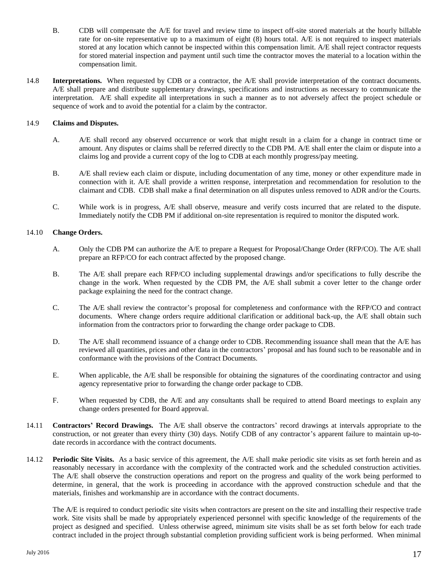- B. CDB will compensate the A/E for travel and review time to inspect off-site stored materials at the hourly billable rate for on-site representative up to a maximum of eight (8) hours total. A/E is not required to inspect materials stored at any location which cannot be inspected within this compensation limit. A/E shall reject contractor requests for stored material inspection and payment until such time the contractor moves the material to a location within the compensation limit.
- 14.8 **Interpretations.** When requested by CDB or a contractor, the A/E shall provide interpretation of the contract documents. A/E shall prepare and distribute supplementary drawings, specifications and instructions as necessary to communicate the interpretation. A/E shall expedite all interpretations in such a manner as to not adversely affect the project schedule or sequence of work and to avoid the potential for a claim by the contractor.

## 14.9 **Claims and Disputes.**

- A. A/E shall record any observed occurrence or work that might result in a claim for a change in contract time or amount. Any disputes or claims shall be referred directly to the CDB PM. A/E shall enter the claim or dispute into a claims log and provide a current copy of the log to CDB at each monthly progress/pay meeting.
- B. A/E shall review each claim or dispute, including documentation of any time, money or other expenditure made in connection with it. A/E shall provide a written response, interpretation and recommendation for resolution to the claimant and CDB. CDB shall make a final determination on all disputes unless removed to ADR and/or the Courts.
- C. While work is in progress, A/E shall observe, measure and verify costs incurred that are related to the dispute. Immediately notify the CDB PM if additional on-site representation is required to monitor the disputed work.

## 14.10 **Change Orders.**

- A. Only the CDB PM can authorize the A/E to prepare a Request for Proposal/Change Order (RFP/CO). The A/E shall prepare an RFP/CO for each contract affected by the proposed change.
- B. The A/E shall prepare each RFP/CO including supplemental drawings and/or specifications to fully describe the change in the work. When requested by the CDB PM, the A/E shall submit a cover letter to the change order package explaining the need for the contract change.
- C. The A/E shall review the contractor's proposal for completeness and conformance with the RFP/CO and contract documents. Where change orders require additional clarification or additional back-up, the A/E shall obtain such information from the contractors prior to forwarding the change order package to CDB.
- D. The A/E shall recommend issuance of a change order to CDB. Recommending issuance shall mean that the A/E has reviewed all quantities, prices and other data in the contractors' proposal and has found such to be reasonable and in conformance with the provisions of the Contract Documents.
- E. When applicable, the A/E shall be responsible for obtaining the signatures of the coordinating contractor and using agency representative prior to forwarding the change order package to CDB.
- F. When requested by CDB, the A/E and any consultants shall be required to attend Board meetings to explain any change orders presented for Board approval.
- 14.11 **Contractors' Record Drawings.** The A/E shall observe the contractors' record drawings at intervals appropriate to the construction, or not greater than every thirty (30) days. Notify CDB of any contractor's apparent failure to maintain up-todate records in accordance with the contract documents.
- 14.12 **Periodic Site Visits.** As a basic service of this agreement, the A/E shall make periodic site visits as set forth herein and as reasonably necessary in accordance with the complexity of the contracted work and the scheduled construction activities. The A/E shall observe the construction operations and report on the progress and quality of the work being performed to determine, in general, that the work is proceeding in accordance with the approved construction schedule and that the materials, finishes and workmanship are in accordance with the contract documents.

The A/E is required to conduct periodic site visits when contractors are present on the site and installing their respective trade work. Site visits shall be made by appropriately experienced personnel with specific knowledge of the requirements of the project as designed and specified. Unless otherwise agreed, minimum site visits shall be as set forth below for each trade contract included in the project through substantial completion providing sufficient work is being performed. When minimal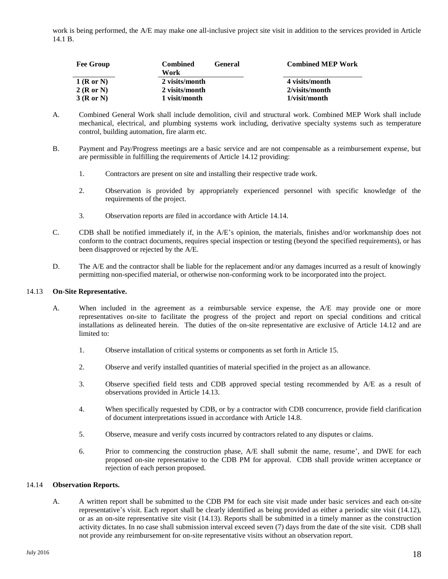work is being performed, the A/E may make one all-inclusive project site visit in addition to the services provided in Article 14.1 B.

| <b>Fee Group</b> | <b>Combined</b><br>Work | <b>General</b> | <b>Combined MEP Work</b> |
|------------------|-------------------------|----------------|--------------------------|
| $1$ (R or N)     | 2 visits/month          |                | 4 visits/month           |
| 2(RorN)          | 2 visits/month          |                | 2/visits/month           |
| 3(RorN)          | 1 visit/month           |                | 1/visit/month            |

- A. Combined General Work shall include demolition, civil and structural work. Combined MEP Work shall include mechanical, electrical, and plumbing systems work including, derivative specialty systems such as temperature control, building automation, fire alarm etc.
- B. Payment and Pay/Progress meetings are a basic service and are not compensable as a reimbursement expense, but are permissible in fulfilling the requirements of Article 14.12 providing:
	- 1. Contractors are present on site and installing their respective trade work.
	- 2. Observation is provided by appropriately experienced personnel with specific knowledge of the requirements of the project.
	- 3. Observation reports are filed in accordance with Article 14.14.
- C. CDB shall be notified immediately if, in the A/E's opinion, the materials, finishes and/or workmanship does not conform to the contract documents, requires special inspection or testing (beyond the specified requirements), or has been disapproved or rejected by the A/E.
- D. The A/E and the contractor shall be liable for the replacement and/or any damages incurred as a result of knowingly permitting non-specified material, or otherwise non-conforming work to be incorporated into the project.

#### 14.13 **On-Site Representative.**

- A. When included in the agreement as a reimbursable service expense, the A/E may provide one or more representatives on-site to facilitate the progress of the project and report on special conditions and critical installations as delineated herein. The duties of the on-site representative are exclusive of Article 14.12 and are limited to:
	- 1. Observe installation of critical systems or components as set forth in Article 15.
	- 2. Observe and verify installed quantities of material specified in the project as an allowance.
	- 3. Observe specified field tests and CDB approved special testing recommended by A/E as a result of observations provided in Article 14.13.
	- 4. When specifically requested by CDB, or by a contractor with CDB concurrence, provide field clarification of document interpretations issued in accordance with Article 14.8.
	- 5. Observe, measure and verify costs incurred by contractors related to any disputes or claims.
	- 6. Prior to commencing the construction phase, A/E shall submit the name, resume', and DWE for each proposed on-site representative to the CDB PM for approval. CDB shall provide written acceptance or rejection of each person proposed.

#### 14.14 **Observation Reports.**

A. A written report shall be submitted to the CDB PM for each site visit made under basic services and each on-site representative's visit. Each report shall be clearly identified as being provided as either a periodic site visit (14.12), or as an on-site representative site visit (14.13). Reports shall be submitted in a timely manner as the construction activity dictates. In no case shall submission interval exceed seven (7) days from the date of the site visit. CDB shall not provide any reimbursement for on-site representative visits without an observation report.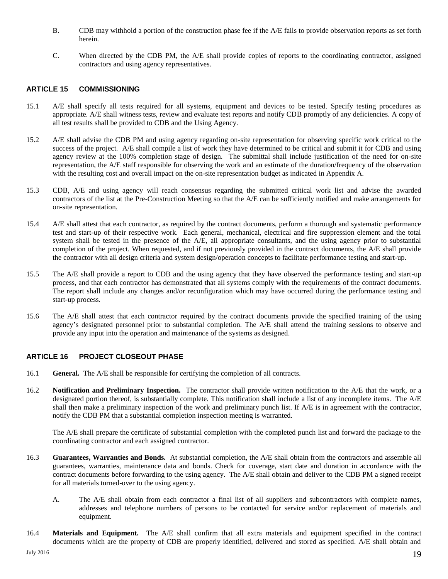- B. CDB may withhold a portion of the construction phase fee if the A/E fails to provide observation reports as set forth herein.
- <span id="page-20-0"></span>C. When directed by the CDB PM, the A/E shall provide copies of reports to the coordinating contractor, assigned contractors and using agency representatives.

## **ARTICLE 15 COMMISSIONING**

- 15.1 A/E shall specify all tests required for all systems, equipment and devices to be tested. Specify testing procedures as appropriate. A/E shall witness tests, review and evaluate test reports and notify CDB promptly of any deficiencies. A copy of all test results shall be provided to CDB and the Using Agency.
- 15.2 A/E shall advise the CDB PM and using agency regarding on-site representation for observing specific work critical to the success of the project. A/E shall compile a list of work they have determined to be critical and submit it for CDB and using agency review at the 100% completion stage of design. The submittal shall include justification of the need for on-site representation, the A/E staff responsible for observing the work and an estimate of the duration/frequency of the observation with the resulting cost and overall impact on the on-site representation budget as indicated in Appendix A.
- 15.3 CDB, A/E and using agency will reach consensus regarding the submitted critical work list and advise the awarded contractors of the list at the Pre-Construction Meeting so that the A/E can be sufficiently notified and make arrangements for on-site representation.
- 15.4 A/E shall attest that each contractor, as required by the contract documents, perform a thorough and systematic performance test and start-up of their respective work. Each general, mechanical, electrical and fire suppression element and the total system shall be tested in the presence of the A/E, all appropriate consultants, and the using agency prior to substantial completion of the project. When requested, and if not previously provided in the contract documents, the A/E shall provide the contractor with all design criteria and system design/operation concepts to facilitate performance testing and start-up.
- 15.5 The A/E shall provide a report to CDB and the using agency that they have observed the performance testing and start-up process, and that each contractor has demonstrated that all systems comply with the requirements of the contract documents. The report shall include any changes and/or reconfiguration which may have occurred during the performance testing and start-up process.
- 15.6 The A/E shall attest that each contractor required by the contract documents provide the specified training of the using agency's designated personnel prior to substantial completion. The A/E shall attend the training sessions to observe and provide any input into the operation and maintenance of the systems as designed.

## **ARTICLE 16 PROJECT CLOSEOUT PHASE**

- 16.1 **General.** The A/E shall be responsible for certifying the completion of all contracts.
- 16.2 **Notification and Preliminary Inspection.** The contractor shall provide written notification to the A/E that the work, or a designated portion thereof, is substantially complete. This notification shall include a list of any incomplete items. The A/E shall then make a preliminary inspection of the work and preliminary punch list. If A/E is in agreement with the contractor, notify the CDB PM that a substantial completion inspection meeting is warranted.

<span id="page-20-1"></span>The A/E shall prepare the certificate of substantial completion with the completed punch list and forward the package to the coordinating contractor and each assigned contractor.

- 16.3 **Guarantees, Warranties and Bonds.** At substantial completion, the A/E shall obtain from the contractors and assemble all guarantees, warranties, maintenance data and bonds. Check for coverage, start date and duration in accordance with the contract documents before forwarding to the using agency. The A/E shall obtain and deliver to the CDB PM a signed receipt for all materials turned-over to the using agency.
	- A. The A/E shall obtain from each contractor a final list of all suppliers and subcontractors with complete names, addresses and telephone numbers of persons to be contacted for service and/or replacement of materials and equipment.
- 16.4 **Materials and Equipment.** The A/E shall confirm that all extra materials and equipment specified in the contract documents which are the property of CDB are properly identified, delivered and stored as specified. A/E shall obtain and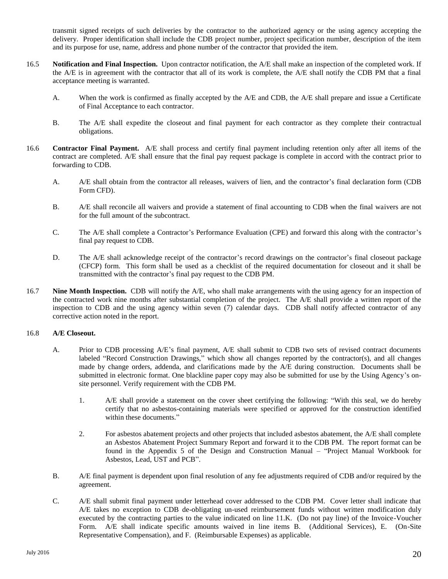transmit signed receipts of such deliveries by the contractor to the authorized agency or the using agency accepting the delivery. Proper identification shall include the CDB project number, project specification number, description of the item and its purpose for use, name, address and phone number of the contractor that provided the item.

- 16.5 **Notification and Final Inspection.** Upon contractor notification, the A/E shall make an inspection of the completed work. If the A/E is in agreement with the contractor that all of its work is complete, the A/E shall notify the CDB PM that a final acceptance meeting is warranted.
	- A. When the work is confirmed as finally accepted by the A/E and CDB, the A/E shall prepare and issue a Certificate of Final Acceptance to each contractor.
	- B. The A/E shall expedite the closeout and final payment for each contractor as they complete their contractual obligations.
- 16.6 **Contractor Final Payment.** A/E shall process and certify final payment including retention only after all items of the contract are completed. A/E shall ensure that the final pay request package is complete in accord with the contract prior to forwarding to CDB.
	- A. A/E shall obtain from the contractor all releases, waivers of lien, and the contractor's final declaration form (CDB Form CFD).
	- B. A/E shall reconcile all waivers and provide a statement of final accounting to CDB when the final waivers are not for the full amount of the subcontract.
	- C. The A/E shall complete a Contractor's Performance Evaluation (CPE) and forward this along with the contractor's final pay request to CDB.
	- D. The A/E shall acknowledge receipt of the contractor's record drawings on the contractor's final closeout package (CFCP) form. This form shall be used as a checklist of the required documentation for closeout and it shall be transmitted with the contractor's final pay request to the CDB PM.
- 16.7 **Nine Month Inspection.** CDB will notify the A/E, who shall make arrangements with the using agency for an inspection of the contracted work nine months after substantial completion of the project. The A/E shall provide a written report of the inspection to CDB and the using agency within seven (7) calendar days. CDB shall notify affected contractor of any corrective action noted in the report.

## 16.8 **A/E Closeout.**

- A. Prior to CDB processing A/E's final payment, A/E shall submit to CDB two sets of revised contract documents labeled "Record Construction Drawings," which show all changes reported by the contractor(s), and all changes made by change orders, addenda, and clarifications made by the A/E during construction. Documents shall be submitted in electronic format. One blackline paper copy may also be submitted for use by the Using Agency's onsite personnel. Verify requirement with the CDB PM.
	- 1. A/E shall provide a statement on the cover sheet certifying the following: "With this seal, we do hereby certify that no asbestos-containing materials were specified or approved for the construction identified within these documents."
	- 2. For asbestos abatement projects and other projects that included asbestos abatement, the A/E shall complete an Asbestos Abatement Project Summary Report and forward it to the CDB PM. The report format can be found in the Appendix 5 of the Design and Construction Manual – "Project Manual Workbook for Asbestos, Lead, UST and PCB".
- B. A/E final payment is dependent upon final resolution of any fee adjustments required of CDB and/or required by the agreement.
- C. A/E shall submit final payment under letterhead cover addressed to the CDB PM. Cover letter shall indicate that A/E takes no exception to CDB de-obligating un-used reimbursement funds without written modification duly executed by the contracting parties to the value indicated on line 11.K. (Do not pay line) of the Invoice-Voucher Form. A/E shall indicate specific amounts waived in line items B. (Additional Services), E. (On-Site Representative Compensation), and F. (Reimbursable Expenses) as applicable.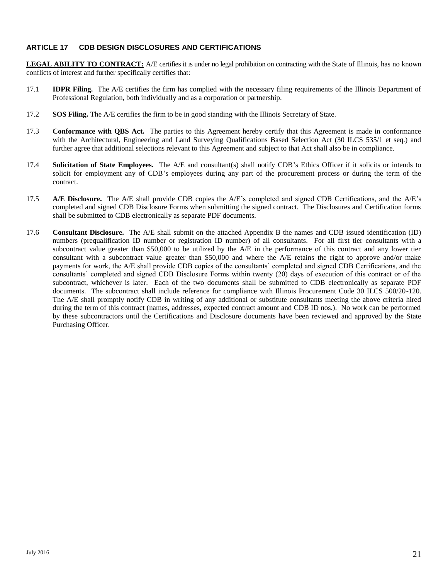## <span id="page-22-0"></span>**ARTICLE 17 CDB DESIGN DISCLOSURES AND CERTIFICATIONS**

**LEGAL ABILITY TO CONTRACT:** A/E certifies it is under no legal prohibition on contracting with the State of Illinois, has no known conflicts of interest and further specifically certifies that:

- 17.1 **IDPR Filing.** The A/E certifies the firm has complied with the necessary filing requirements of the Illinois Department of Professional Regulation, both individually and as a corporation or partnership.
- 17.2 **SOS Filing.** The A/E certifies the firm to be in good standing with the Illinois Secretary of State.
- 17.3 **Conformance with QBS Act.** The parties to this Agreement hereby certify that this Agreement is made in conformance with the Architectural, Engineering and Land Surveying Qualifications Based Selection Act (30 ILCS 535/1 et seq.) and further agree that additional selections relevant to this Agreement and subject to that Act shall also be in compliance.
- 17.4 **Solicitation of State Employees.** The A/E and consultant(s) shall notify CDB's Ethics Officer if it solicits or intends to solicit for employment any of CDB's employees during any part of the procurement process or during the term of the contract.
- 17.5 **A/E Disclosure.** The A/E shall provide CDB copies the A/E's completed and signed CDB Certifications, and the A/E's completed and signed CDB Disclosure Forms when submitting the signed contract. The Disclosures and Certification forms shall be submitted to CDB electronically as separate PDF documents.
- 17.6 **Consultant Disclosure.** The A/E shall submit on the attached Appendix B the names and CDB issued identification (ID) numbers (prequalification ID number or registration ID number) of all consultants. For all first tier consultants with a subcontract value greater than \$50,000 to be utilized by the A/E in the performance of this contract and any lower tier consultant with a subcontract value greater than \$50,000 and where the A/E retains the right to approve and/or make payments for work, the A/E shall provide CDB copies of the consultants' completed and signed CDB Certifications, and the consultants' completed and signed CDB Disclosure Forms within twenty (20) days of execution of this contract or of the subcontract, whichever is later. Each of the two documents shall be submitted to CDB electronically as separate PDF documents. The subcontract shall include reference for compliance with Illinois Procurement Code 30 ILCS 500/20-120. The A/E shall promptly notify CDB in writing of any additional or substitute consultants meeting the above criteria hired during the term of this contract (names, addresses, expected contract amount and CDB ID nos.). No work can be performed by these subcontractors until the Certifications and Disclosure documents have been reviewed and approved by the State Purchasing Officer.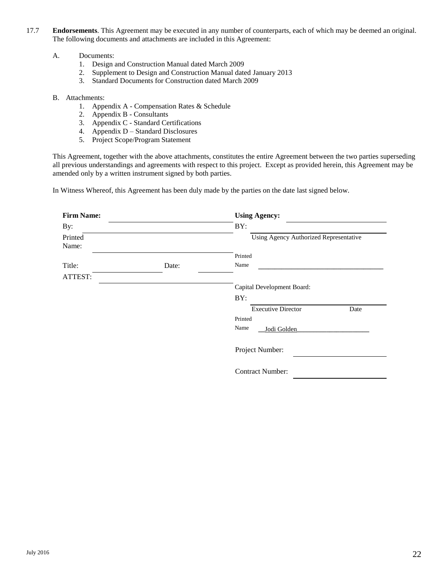- 17.7 **Endorsements**. This Agreement may be executed in any number of counterparts, each of which may be deemed an original. The following documents and attachments are included in this Agreement:
	- A. Documents:
		- 1. Design and Construction Manual dated March 2009
		- 2. Supplement to Design and Construction Manual dated January 2013
		- 3. Standard Documents for Construction dated March 2009
	- B. Attachments:
		- 1. Appendix A Compensation Rates & Schedule
		- 2. Appendix B Consultants
		- 3. Appendix C Standard Certifications
		- 4. Appendix D Standard Disclosures
		- 5. Project Scope/Program Statement

This Agreement, together with the above attachments, constitutes the entire Agreement between the two parties superseding all previous understandings and agreements with respect to this project. Except as provided herein, this Agreement may be amended only by a written instrument signed by both parties.

In Witness Whereof, this Agreement has been duly made by the parties on the date last signed below.

| <b>Firm Name:</b> |       | <b>Using Agency:</b>                   |  |  |
|-------------------|-------|----------------------------------------|--|--|
| By:               |       | BY:                                    |  |  |
| Printed<br>Name:  |       | Using Agency Authorized Representative |  |  |
|                   |       | Printed                                |  |  |
| Title:            | Date: | Name                                   |  |  |
| ATTEST:           |       |                                        |  |  |
|                   |       | Capital Development Board:             |  |  |
|                   |       | BY:                                    |  |  |
|                   |       | <b>Executive Director</b><br>Date      |  |  |
|                   |       | Printed                                |  |  |
|                   |       | Name<br>Jodi Golden                    |  |  |
|                   |       | Project Number:                        |  |  |
|                   |       | <b>Contract Number:</b>                |  |  |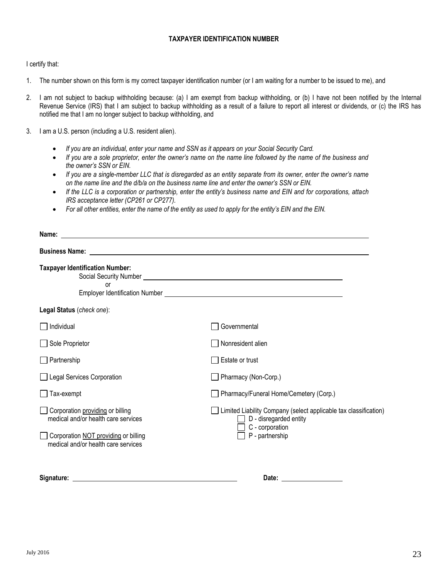## **TAXPAYER IDENTIFICATION NUMBER**

I certify that:

- 1. The number shown on this form is my correct taxpayer identification number (or I am waiting for a number to be issued to me), and
- 2. I am not subject to backup withholding because: (a) I am exempt from backup withholding, or (b) I have not been notified by the Internal Revenue Service (IRS) that I am subject to backup withholding as a result of a failure to report all interest or dividends, or (c) the IRS has notified me that I am no longer subject to backup withholding, and
- 3. I am a U.S. person (including a U.S. resident alien).
	- *If you are an individual, enter your name and SSN as it appears on your Social Security Card.*
	- *If you are a sole proprietor, enter the owner's name on the name line followed by the name of the business and the owner's SSN or EIN.*
	- *If you are a single-member LLC that is disregarded as an entity separate from its owner, enter the owner's name on the name line and the d/b/a on the business name line and enter the owner's SSN or EIN.*
	- *If the LLC is a corporation or partnership, enter the entity's business name and EIN and for corporations, attach IRS acceptance letter (CP261 or CP277).*
	- *For all other entities, enter the name of the entity as used to apply for the entity's EIN and the EIN.*

| Name:                                                                                                                                                         |                                                                                                                                                                                                                                          |
|---------------------------------------------------------------------------------------------------------------------------------------------------------------|------------------------------------------------------------------------------------------------------------------------------------------------------------------------------------------------------------------------------------------|
|                                                                                                                                                               | <b>Business Name:</b> <u>Contract Communications</u> and the contract of the contract of the contract of the contract of the contract of the contract of the contract of the contract of the contract of the contract of the contract of |
| <b>Taxpayer Identification Number:</b><br>or                                                                                                                  | Social Security Number <u>Communications</u> Construction and Construction Construction and Construction Construction                                                                                                                    |
| Legal Status (check one):                                                                                                                                     |                                                                                                                                                                                                                                          |
| Individual                                                                                                                                                    | Governmental                                                                                                                                                                                                                             |
| Sole Proprietor                                                                                                                                               | Nonresident alien                                                                                                                                                                                                                        |
| Partnership                                                                                                                                                   | Estate or trust                                                                                                                                                                                                                          |
| Legal Services Corporation                                                                                                                                    | Pharmacy (Non-Corp.)                                                                                                                                                                                                                     |
| Tax-exempt                                                                                                                                                    | Pharmacy/Funeral Home/Cemetery (Corp.)                                                                                                                                                                                                   |
| Corporation providing or billing<br>medical and/or health care services<br>$\Box$ Corporation NOT providing or billing<br>medical and/or health care services | Limited Liability Company (select applicable tax classification)<br>$\Box$ D - disregarded entity<br>$\exists$ C - corporation<br>P - partnership                                                                                        |
| Signature:                                                                                                                                                    | Date:                                                                                                                                                                                                                                    |